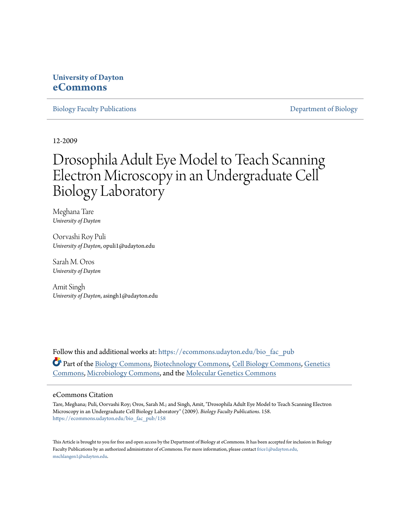# **University of Dayton [eCommons](https://ecommons.udayton.edu?utm_source=ecommons.udayton.edu%2Fbio_fac_pub%2F158&utm_medium=PDF&utm_campaign=PDFCoverPages)**

[Biology Faculty Publications](https://ecommons.udayton.edu/bio_fac_pub?utm_source=ecommons.udayton.edu%2Fbio_fac_pub%2F158&utm_medium=PDF&utm_campaign=PDFCoverPages) **[Department of Biology](https://ecommons.udayton.edu/bio?utm_source=ecommons.udayton.edu%2Fbio_fac_pub%2F158&utm_medium=PDF&utm_campaign=PDFCoverPages)** 

12-2009

# Drosophila Adult Eye Model to Teach Scanning Electron Microscopy in an Undergraduate Cell Biology Laboratory

Meghana Tare *University of Dayton*

Oorvashi Roy Puli *University of Dayton*, opuli1@udayton.edu

Sarah M. Oros *University of Dayton*

Amit Singh *University of Dayton*, asingh1@udayton.edu

Follow this and additional works at: [https://ecommons.udayton.edu/bio\\_fac\\_pub](https://ecommons.udayton.edu/bio_fac_pub?utm_source=ecommons.udayton.edu%2Fbio_fac_pub%2F158&utm_medium=PDF&utm_campaign=PDFCoverPages) Part of the [Biology Commons,](http://network.bepress.com/hgg/discipline/41?utm_source=ecommons.udayton.edu%2Fbio_fac_pub%2F158&utm_medium=PDF&utm_campaign=PDFCoverPages) [Biotechnology Commons,](http://network.bepress.com/hgg/discipline/111?utm_source=ecommons.udayton.edu%2Fbio_fac_pub%2F158&utm_medium=PDF&utm_campaign=PDFCoverPages) [Cell Biology Commons](http://network.bepress.com/hgg/discipline/10?utm_source=ecommons.udayton.edu%2Fbio_fac_pub%2F158&utm_medium=PDF&utm_campaign=PDFCoverPages), [Genetics](http://network.bepress.com/hgg/discipline/29?utm_source=ecommons.udayton.edu%2Fbio_fac_pub%2F158&utm_medium=PDF&utm_campaign=PDFCoverPages) [Commons,](http://network.bepress.com/hgg/discipline/29?utm_source=ecommons.udayton.edu%2Fbio_fac_pub%2F158&utm_medium=PDF&utm_campaign=PDFCoverPages) [Microbiology Commons](http://network.bepress.com/hgg/discipline/48?utm_source=ecommons.udayton.edu%2Fbio_fac_pub%2F158&utm_medium=PDF&utm_campaign=PDFCoverPages), and the [Molecular Genetics Commons](http://network.bepress.com/hgg/discipline/31?utm_source=ecommons.udayton.edu%2Fbio_fac_pub%2F158&utm_medium=PDF&utm_campaign=PDFCoverPages)

#### eCommons Citation

Tare, Meghana; Puli, Oorvashi Roy; Oros, Sarah M.; and Singh, Amit, "Drosophila Adult Eye Model to Teach Scanning Electron Microscopy in an Undergraduate Cell Biology Laboratory" (2009). *Biology Faculty Publications*. 158. [https://ecommons.udayton.edu/bio\\_fac\\_pub/158](https://ecommons.udayton.edu/bio_fac_pub/158?utm_source=ecommons.udayton.edu%2Fbio_fac_pub%2F158&utm_medium=PDF&utm_campaign=PDFCoverPages)

This Article is brought to you for free and open access by the Department of Biology at eCommons. It has been accepted for inclusion in Biology Faculty Publications by an authorized administrator of eCommons. For more information, please contact [frice1@udayton.edu,](mailto:frice1@udayton.edu,%20mschlangen1@udayton.edu) [mschlangen1@udayton.edu.](mailto:frice1@udayton.edu,%20mschlangen1@udayton.edu)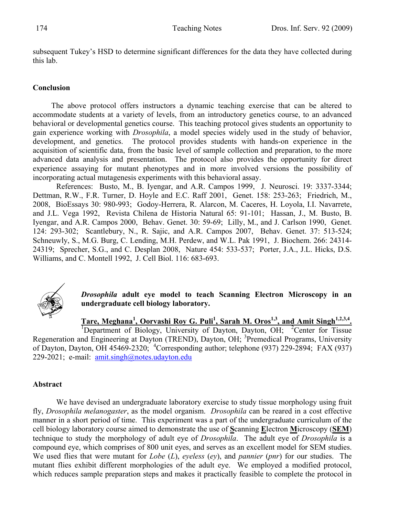subsequent Tukey's HSD to determine significant differences for the data they have collected during this lab.

## **Conclusion**

The above protocol offers instructors a dynamic teaching exercise that can be altered to accommodate students at a variety of levels, from an introductory genetics course, to an advanced behavioral or developmental genetics course. This teaching protocol gives students an opportunity to gain experience working with *Drosophila*, a model species widely used in the study of behavior, development, and genetics. The protocol provides students with hands-on experience in the acquisition of scientific data, from the basic level of sample collection and preparation, to the more advanced data analysis and presentation. The protocol also provides the opportunity for direct experience assaying for mutant phenotypes and in more involved versions the possibility of incorporating actual mutagenesis experiments with this behavioral assay.

References: Busto, M., B. Iyengar, and A.R. Campos 1999, J. Neurosci. 19: 3337-3344; Dettman, R.W., F.R. Turner, D. Hoyle and E.C. Raff 2001, Genet. 158: 253-263; Friedrich, M., 2008, BioEssays 30: 980-993; Godoy-Herrera, R. Alarcon, M. Caceres, H. Loyola, I.I. Navarrete, and J.L. Vega 1992, Revista Chilena de Historia Natural 65: 91-101; Hassan, J., M. Busto, B. Iyengar, and A.R. Campos 2000, Behav. Genet. 30: 59-69; Lilly, M., and J. Carlson 1990, Genet. 124: 293-302; Scantlebury, N., R. Sajic, and A.R. Campos 2007, Behav. Genet. 37: 513-524; Schneuwly, S., M.G. Burg, C. Lending, M.H. Perdew, and W.L. Pak 1991, J. Biochem. 266: 24314- 24319; Sprecher, S.G., and C. Desplan 2008, Nature 454: 533-537; Porter, J.A., J.L. Hicks, D.S. Williams, and C. Montell 1992, J. Cell Biol. 116: 683-693.



*Drosophila* **adult eye model to teach Scanning Electron Microscopy in an undergraduate cell biology laboratory.** 

**Tare, Meghana<sup>1</sup>, Oorvashi Roy G. Puli<sup>1</sup>, Sarah M. Oros<sup>1,3</sup>, and Amit Singh<sup>1,2,3,4</sup>.<br><sup>1</sup>Department of Biology, University of Deyton, Deyton, O.U. <sup>2</sup>Center for Tissue.** 

Department of Biology, University of Dayton, Dayton, OH; <sup>2</sup>Center for Tissue Regeneration and Engineering at Dayton (TREND), Dayton, OH; <sup>3</sup>Premedical Programs, University of Dayton, Dayton, OH 45469-2320; <sup>4</sup> Corresponding author; telephone (937) 229-2894; FAX (937) 229-2021; e-mail: amit.singh@notes.udayton.edu

# **Abstract**

We have devised an undergraduate laboratory exercise to study tissue morphology using fruit fly, *Drosophila melanogaster*, as the model organism. *Drosophila* can be reared in a cost effective manner in a short period of time. This experiment was a part of the undergraduate curriculum of the cell biology laboratory course aimed to demonstrate the use of **S**canning **E**lectron **M**icroscopy (**SEM**) technique to study the morphology of adult eye of *Drosophila*. The adult eye of *Drosophila* is a compound eye, which comprises of 800 unit eyes, and serves as an excellent model for SEM studies. We used flies that were mutant for *Lobe* (*L*), *eyeless* (*ey*), and *pannier* (*pnr*) for our studies. The mutant flies exhibit different morphologies of the adult eye. We employed a modified protocol, which reduces sample preparation steps and makes it practically feasible to complete the protocol in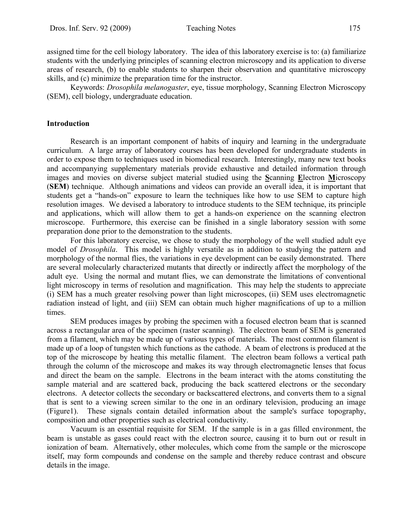assigned time for the cell biology laboratory. The idea of this laboratory exercise is to: (a) familiarize students with the underlying principles of scanning electron microscopy and its application to diverse areas of research, (b) to enable students to sharpen their observation and quantitative microscopy skills, and (c) minimize the preparation time for the instructor.

Keywords: *Drosophila melanogaster*, eye, tissue morphology, Scanning Electron Microscopy (SEM), cell biology, undergraduate education.

#### **Introduction**

 Research is an important component of habits of inquiry and learning in the undergraduate curriculum. A large array of laboratory courses has been developed for undergraduate students in order to expose them to techniques used in biomedical research. Interestingly, many new text books and accompanying supplementary materials provide exhaustive and detailed information through images and movies on diverse subject material studied using the **S**canning **E**lectron **M**icroscopy (**SEM**) technique. Although animations and videos can provide an overall idea, it is important that students get a "hands-on" exposure to learn the techniques like how to use SEM to capture high resolution images. We devised a laboratory to introduce students to the SEM technique, its principle and applications, which will allow them to get a hands-on experience on the scanning electron microscope. Furthermore, this exercise can be finished in a single laboratory session with some preparation done prior to the demonstration to the students.

 For this laboratory exercise, we chose to study the morphology of the well studied adult eye model of *Drosophila*. This model is highly versatile as in addition to studying the pattern and morphology of the normal flies, the variations in eye development can be easily demonstrated. There are several molecularly characterized mutants that directly or indirectly affect the morphology of the adult eye. Using the normal and mutant flies, we can demonstrate the limitations of conventional light microscopy in terms of resolution and magnification. This may help the students to appreciate (i) SEM has a much greater resolving power than light microscopes, (ii) SEM uses electromagnetic radiation instead of light, and (iii) SEM can obtain much higher magnifications of up to a million times.

 SEM produces images by probing the specimen with a focused electron beam that is scanned across a rectangular area of the specimen (raster scanning). The electron beam of SEM is generated from a filament, which may be made up of various types of materials. The most common filament is made up of a loop of tungsten which functions as the cathode. A beam of electrons is produced at the top of the microscope by heating this metallic filament. The electron beam follows a vertical path through the column of the microscope and makes its way through electromagnetic lenses that focus and direct the beam on the sample. Electrons in the beam interact with the atoms constituting the sample material and are scattered back, producing the back scattered electrons or the secondary electrons. A detector collects the secondary or backscattered electrons, and converts them to a signal that is sent to a viewing screen similar to the one in an ordinary television, producing an image (Figure1). These signals contain detailed information about the sample's surface topography, composition and other properties such as electrical conductivity.

 Vacuum is an essential requisite for SEM. If the sample is in a gas filled environment, the beam is unstable as gases could react with the electron source, causing it to burn out or result in ionization of beam. Alternatively, other molecules, which come from the sample or the microscope itself, may form compounds and condense on the sample and thereby reduce contrast and obscure details in the image.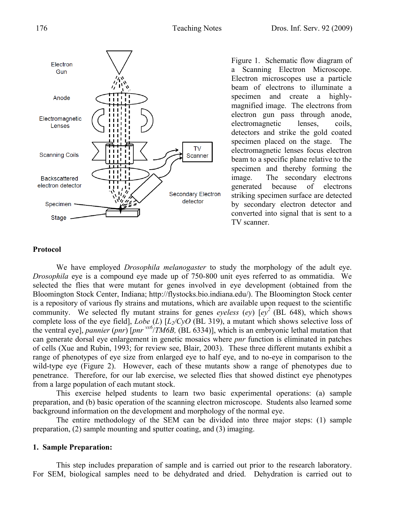

Figure 1. Schematic flow diagram of a Scanning Electron Microscope. Electron microscopes use a particle beam of electrons to illuminate a specimen and create a highlymagnified image. The electrons from electron gun pass through anode, electromagnetic lenses, coils, detectors and strike the gold coated specimen placed on the stage. The electromagnetic lenses focus electron beam to a specific plane relative to the specimen and thereby forming the image. The secondary electrons generated because of electrons striking specimen surface are detected by secondary electron detector and converted into signal that is sent to a TV scanner.

## **Protocol**

We have employed *Drosophila melanogaster* to study the morphology of the adult eye. *Drosophila* eye is a compound eye made up of 750-800 unit eyes referred to as ommatidia. We selected the flies that were mutant for genes involved in eye development (obtained from the Bloomington Stock Center, Indiana; http://flystocks.bio.indiana.edu/). The Bloomington Stock center is a repository of various fly strains and mutations, which are available upon request to the scientific community. We selected fly mutant strains for genes *eyeless* (*ey*)  $[ey<sup>2</sup>$  (BL 648), which shows complete loss of the eye field], *Lobe* (*L*) [*L2/CyO* (BL 319), a mutant which shows selective loss of the ventral eye], *pannier* (*pnr*) [*pnr vx6*/*TM6B,* (BL 6334)], which is an embryonic lethal mutation that can generate dorsal eye enlargement in genetic mosaics where *pnr* function is eliminated in patches of cells (Xue and Rubin, 1993; for review see, Blair, 2003). These three different mutants exhibit a range of phenotypes of eye size from enlarged eye to half eye, and to no-eye in comparison to the wild-type eye (Figure 2). However, each of these mutants show a range of phenotypes due to penetrance. Therefore, for our lab exercise, we selected flies that showed distinct eye phenotypes from a large population of each mutant stock.

 This exercise helped students to learn two basic experimental operations: (a) sample preparation, and (b) basic operation of the scanning electron microscope. Students also learned some background information on the development and morphology of the normal eye.

 The entire methodology of the SEM can be divided into three major steps: (1) sample preparation, (2) sample mounting and sputter coating, and (3) imaging.

#### **1. Sample Preparation:**

This step includes preparation of sample and is carried out prior to the research laboratory. For SEM, biological samples need to be dehydrated and dried. Dehydration is carried out to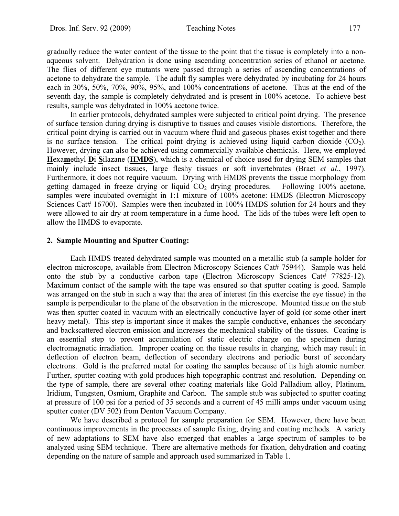gradually reduce the water content of the tissue to the point that the tissue is completely into a nonaqueous solvent. Dehydration is done using ascending concentration series of ethanol or acetone. The flies of different eye mutants were passed through a series of ascending concentrations of acetone to dehydrate the sample. The adult fly samples were dehydrated by incubating for 24 hours each in 30%, 50%, 70%, 90%, 95%, and 100% concentrations of acetone. Thus at the end of the seventh day, the sample is completely dehydrated and is present in 100% acetone. To achieve best results, sample was dehydrated in 100% acetone twice.

 In earlier protocols, dehydrated samples were subjected to critical point drying. The presence of surface tension during drying is disruptive to tissues and causes visible distortions. Therefore, the critical point drying is carried out in vacuum where fluid and gaseous phases exist together and there is no surface tension. The critical point drying is achieved using liquid carbon dioxide  $(CO_2)$ . However, drying can also be achieved using commercially available chemicals. Here, we employed **H**exa**m**ethyl **D**i **S**ilazane (**HMDS**), which is a chemical of choice used for drying SEM samples that mainly include insect tissues, large fleshy tissues or soft invertebrates (Braet *et al*., 1997). Furthermore, it does not require vacuum. Drying with HMDS prevents the tissue morphology from getting damaged in freeze drying or liquid  $CO<sub>2</sub>$  drying procedures. Following 100% acetone, samples were incubated overnight in 1:1 mixture of 100% acetone: HMDS (Electron Microscopy Sciences Cat# 16700). Samples were then incubated in 100% HMDS solution for 24 hours and they were allowed to air dry at room temperature in a fume hood. The lids of the tubes were left open to allow the HMDS to evaporate.

## **2. Sample Mounting and Sputter Coating:**

Each HMDS treated dehydrated sample was mounted on a metallic stub (a sample holder for electron microscope, available from Electron Microscopy Sciences Cat# 75944). Sample was held onto the stub by a conductive carbon tape (Electron Microscopy Sciences Cat# 77825-12). Maximum contact of the sample with the tape was ensured so that sputter coating is good. Sample was arranged on the stub in such a way that the area of interest (in this exercise the eye tissue) in the sample is perpendicular to the plane of the observation in the microscope. Mounted tissue on the stub was then sputter coated in vacuum with an electrically conductive layer of gold (or some other inert heavy metal). This step is important since it makes the sample conductive, enhances the secondary and backscattered electron emission and increases the mechanical stability of the tissues. Coating is an essential step to prevent accumulation of static electric charge on the specimen during electromagnetic irradiation. Improper coating on the tissue results in charging, which may result in deflection of electron beam, deflection of secondary electrons and periodic burst of secondary electrons. Gold is the preferred metal for coating the samples because of its high atomic number. Further, sputter coating with gold produces high topographic contrast and resolution. Depending on the type of sample, there are several other coating materials like Gold Palladium alloy, Platinum, Iridium, Tungsten, Osmium, Graphite and Carbon. The sample stub was subjected to sputter coating at pressure of 100 psi for a period of 35 seconds and a current of 45 milli amps under vacuum using sputter coater (DV 502) from Denton Vacuum Company.

 We have described a protocol for sample preparation for SEM. However, there have been continuous improvements in the processes of sample fixing, drying and coating methods. A variety of new adaptations to SEM have also emerged that enables a large spectrum of samples to be analyzed using SEM technique. There are alternative methods for fixation, dehydration and coating depending on the nature of sample and approach used summarized in Table 1.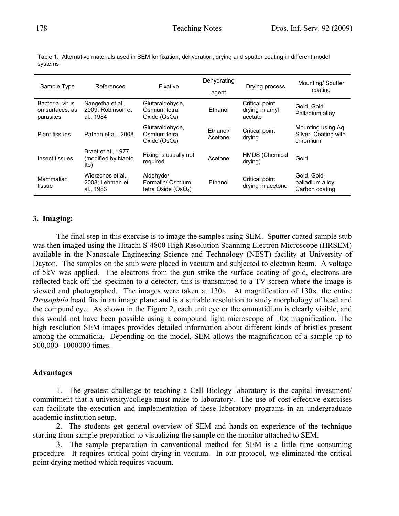| Sample Type                                     | References                                         | Fixative                                              | Dehydrating<br>agent | Drying process                              | Mounting/ Sputter<br>coating                           |
|-------------------------------------------------|----------------------------------------------------|-------------------------------------------------------|----------------------|---------------------------------------------|--------------------------------------------------------|
| Bacteria, virus<br>on surfaces, as<br>parasites | Sangetha et al.,<br>2009; Robinson et<br>al., 1984 | Glutaraldehyde,<br>Osmium tetra<br>Oxide $(OsO4)$     | Ethanol              | Critical point<br>drying in amyl<br>acetate | Gold, Gold-<br>Palladium alloy                         |
| <b>Plant tissues</b>                            | Pathan et al., 2008                                | Glutaraldehyde,<br>Osmium tetra<br>Oxide $(OsO4)$     | Ethanol/<br>Acetone  | Critical point<br>drying                    | Mounting using Aq.<br>Silver, Coating with<br>chromium |
| Insect tissues                                  | Braet et al., 1977,<br>(modified by Naoto)<br>lto) | Fixing is usually not<br>required                     | Acetone              | HMDS (Chemical<br>drying)                   | Gold                                                   |
| Mammalian<br>tissue                             | Wierzchos et al.,<br>2008; Lehman et<br>al., 1983  | Aldehyde/<br>Formalin/ Osmium<br>tetra Oxide $(OsO4)$ | Ethanol              | Critical point<br>drying in acetone         | Gold, Gold-<br>palladium alloy,<br>Carbon coating      |

Table 1.Alternative materials used in SEM for fixation, dehydration, drying and sputter coating in different model systems.

# **3. Imaging:**

The final step in this exercise is to image the samples using SEM. Sputter coated sample stub was then imaged using the Hitachi S-4800 High Resolution Scanning Electron Microscope (HRSEM) available in the Nanoscale Engineering Science and Technology (NEST) facility at University of Dayton. The samples on the stub were placed in vacuum and subjected to electron beam. A voltage of 5kV was applied. The electrons from the gun strike the surface coating of gold, electrons are reflected back off the specimen to a detector, this is transmitted to a TV screen where the image is viewed and photographed. The images were taken at  $130\times$ . At magnification of  $130\times$ , the entire *Drosophila* head fits in an image plane and is a suitable resolution to study morphology of head and the compund eye. As shown in the Figure 2, each unit eye or the ommatidium is clearly visible, and this would not have been possible using a compound light microscope of  $10\times$  magnification. The high resolution SEM images provides detailed information about different kinds of bristles present among the ommatidia. Depending on the model, SEM allows the magnification of a sample up to 500,000- 1000000 times.

## **Advantages**

1. The greatest challenge to teaching a Cell Biology laboratory is the capital investment/ commitment that a university/college must make to laboratory. The use of cost effective exercises can facilitate the execution and implementation of these laboratory programs in an undergraduate academic institution setup.

2. The students get general overview of SEM and hands-on experience of the technique starting from sample preparation to visualizing the sample on the monitor attached to SEM.

3. The sample preparation in conventional method for SEM is a little time consuming procedure. It requires critical point drying in vacuum. In our protocol, we eliminated the critical point drying method which requires vacuum.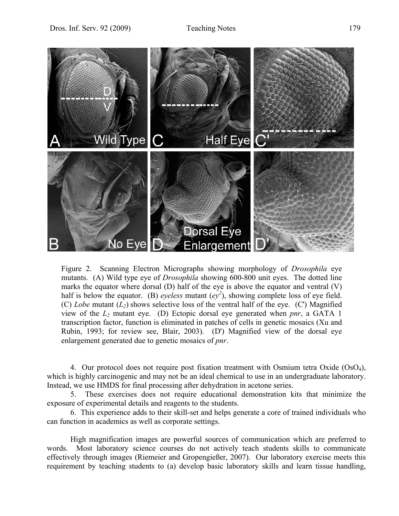

Figure 2. Scanning Electron Micrographs showing morphology of *Drosophila* eye mutants. (A) Wild type eye of *Drosophila* showing 600-800 unit eyes. The dotted line marks the equator where dorsal (D) half of the eye is above the equator and ventral (V) half is below the equator. (B) *eyeless* mutant  $(ey^2)$ , showing complete loss of eye field. (C) *Lobe* mutant  $(L_2)$  shows selective loss of the ventral half of the eye. (C') Magnified view of the *L2* mutant eye. (D) Ectopic dorsal eye generated when *pnr*, a GATA 1 transcription factor, function is eliminated in patches of cells in genetic mosaics (Xu and Rubin, 1993; for review see, Blair, 2003). (D') Magnified view of the dorsal eye enlargement generated due to genetic mosaics of *pnr*.

4. Our protocol does not require post fixation treatment with Osmium tetra Oxide (OsO4), which is highly carcinogenic and may not be an ideal chemical to use in an undergraduate laboratory. Instead, we use HMDS for final processing after dehydration in acetone series.

5. These exercises does not require educational demonstration kits that minimize the exposure of experimental details and reagents to the students.

6. This experience adds to their skill-set and helps generate a core of trained individuals who can function in academics as well as corporate settings.

 High magnification images are powerful sources of communication which are preferred to words. Most laboratory science courses do not actively teach students skills to communicate effectively through images (Riemeier and Gropengießer, 2007). Our laboratory exercise meets this requirement by teaching students to (a) develop basic laboratory skills and learn tissue handling,